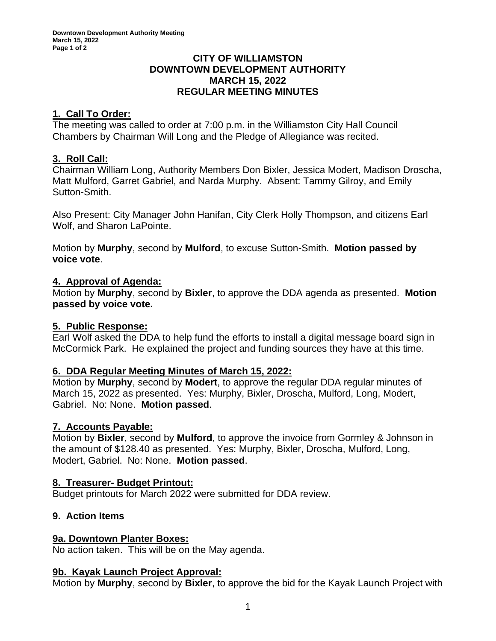### **CITY OF WILLIAMSTON DOWNTOWN DEVELOPMENT AUTHORITY MARCH 15, 2022 REGULAR MEETING MINUTES**

## **1. Call To Order:**

The meeting was called to order at 7:00 p.m. in the Williamston City Hall Council Chambers by Chairman Will Long and the Pledge of Allegiance was recited.

## **3. Roll Call:**

Chairman William Long, Authority Members Don Bixler, Jessica Modert, Madison Droscha, Matt Mulford, Garret Gabriel, and Narda Murphy. Absent: Tammy Gilroy, and Emily Sutton-Smith.

Also Present: City Manager John Hanifan, City Clerk Holly Thompson, and citizens Earl Wolf, and Sharon LaPointe.

Motion by **Murphy**, second by **Mulford**, to excuse Sutton-Smith. **Motion passed by voice vote**.

## **4. Approval of Agenda:**

Motion by **Murphy**, second by **Bixler**, to approve the DDA agenda as presented. **Motion passed by voice vote.**

## **5. Public Response:**

Earl Wolf asked the DDA to help fund the efforts to install a digital message board sign in McCormick Park. He explained the project and funding sources they have at this time.

## **6. DDA Regular Meeting Minutes of March 15, 2022:**

Motion by **Murphy**, second by **Modert**, to approve the regular DDA regular minutes of March 15, 2022 as presented. Yes: Murphy, Bixler, Droscha, Mulford, Long, Modert, Gabriel. No: None. **Motion passed**.

## **7. Accounts Payable:**

Motion by **Bixler**, second by **Mulford**, to approve the invoice from Gormley & Johnson in the amount of \$128.40 as presented. Yes: Murphy, Bixler, Droscha, Mulford, Long, Modert, Gabriel. No: None. **Motion passed**.

## **8. Treasurer- Budget Printout:**

Budget printouts for March 2022 were submitted for DDA review.

# **9. Action Items**

## **9a. Downtown Planter Boxes:**

No action taken. This will be on the May agenda.

## **9b. Kayak Launch Project Approval:**

Motion by **Murphy**, second by **Bixler**, to approve the bid for the Kayak Launch Project with